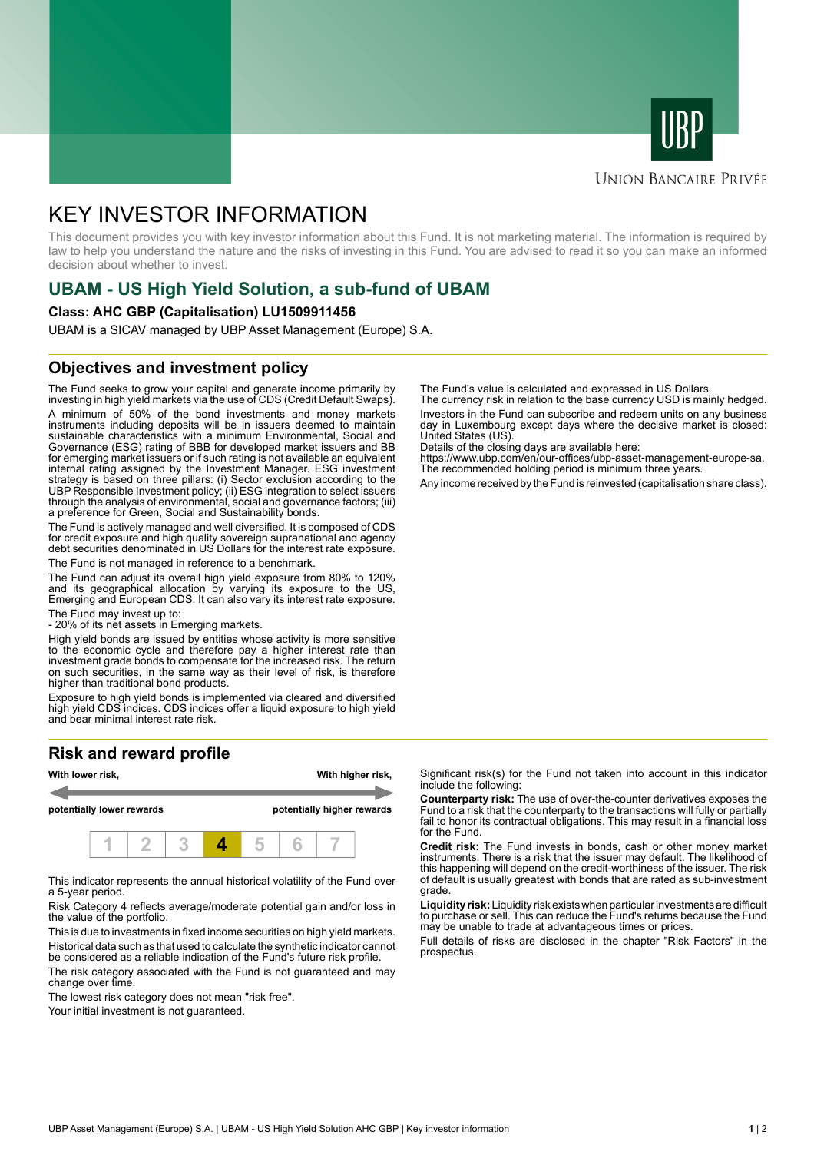



### **UNION BANCAIRE PRIVÉE**

# KEY INVESTOR INFORMATION

This document provides you with key investor information about this Fund. It is not marketing material. The information is required by law to help you understand the nature and the risks of investing in this Fund. You are advised to read it so you can make an informed decision about whether to invest.

# **UBAM - US High Yield Solution, a sub-fund of UBAM**

#### **Class: AHC GBP (Capitalisation) LU1509911456**

UBAM is a SICAV managed by UBP Asset Management (Europe) S.A.

### **Objectives and investment policy**

The Fund seeks to grow your capital and generate income primarily by investing in high yield markets via the use of CDS (Credit Default Swaps). A minimum of 50% of the bond investments and money markets instruments including deposits will be in issuers deemed to maintain sustainable characteristics with a minimum Environmental, Social and Governance (ESG) rating of BBB for developed market issuers and BB for emerging market issuers or if such rating is not available an equivalent internal rating assigned by the Investment Manager. ESG investment strategy is based on three pillars: (i) Sector exclusion according to the UBP Responsible Investment policy; (ii) ESG integration to select issuers through the analysis of environmental, social and governance factors; (iii) a preference for Green, Social and Sustainability bonds.

The Fund is actively managed and well diversified. It is composed of CDS for credit exposure and high quality sovereign supranational and agency debt securities denominated in US Dollars for the interest rate exposure. The Fund is not managed in reference to a benchmark.

The Fund can adjust its overall high yield exposure from 80% to 120% and its geographical allocation by varying its exposure to the US, Emerging and European CDS. It can also vary its interest rate exposure.

The Fund may invest up to:

- 20% of its net assets in Emerging markets.

High yield bonds are issued by entities whose activity is more sensitive to the economic cycle and therefore pay a higher interest rate than investment grade bonds to compensate for the increased risk. The return on such securities, in the same way as their level of risk, is therefore higher than traditional bond products.

Exposure to high yield bonds is implemented via cleared and diversified high yield CDS indices. CDS indices offer a liquid exposure to high yield and bear minimal interest rate risk.

# **Risk and reward profile**



This indicator represents the annual historical volatility of the Fund over a 5-year period.

Risk Category 4 reflects average/moderate potential gain and/or loss in the value of the portfolio.

This is due to investments in fixed income securities on high yield markets. Historical data such as that used to calculate the synthetic indicator cannot be considered as a reliable indication of the Fund's future risk profile. The risk category associated with the Fund is not guaranteed and may

change over time.

The lowest risk category does not mean "risk free".

Your initial investment is not guaranteed.

The Fund's value is calculated and expressed in US Dollars.

The currency risk in relation to the base currency USD is mainly hedged. Investors in the Fund can subscribe and redeem units on any business day in Luxembourg except days where the decisive market is closed: United States (US).

Details of the closing days are available here:

https://www.ubp.com/en/our-offices/ubp-asset-management-europe-sa. The recommended holding period is minimum three years.

Any income received by the Fund is reinvested (capitalisation share class).

Significant risk(s) for the Fund not taken into account in this indicator include the following:

**Counterparty risk:** The use of over-the-counter derivatives exposes the Fund to a risk that the counterparty to the transactions will fully or partially fail to honor its contractual obligations. This may result in a financial loss for the Fund.

**Credit risk:** The Fund invests in bonds, cash or other money market instruments. There is a risk that the issuer may default. The likelihood of this happening will depend on the credit-worthiness of the issuer. The risk of default is usually greatest with bonds that are rated as sub-investment grade.

**Liquidity risk:** Liquidity risk exists when particular investments are difficult to purchase or sell. This can reduce the Fund's returns because the Fund may be unable to trade at advantageous times or prices.

Full details of risks are disclosed in the chapter "Risk Factors" in the prospectus.